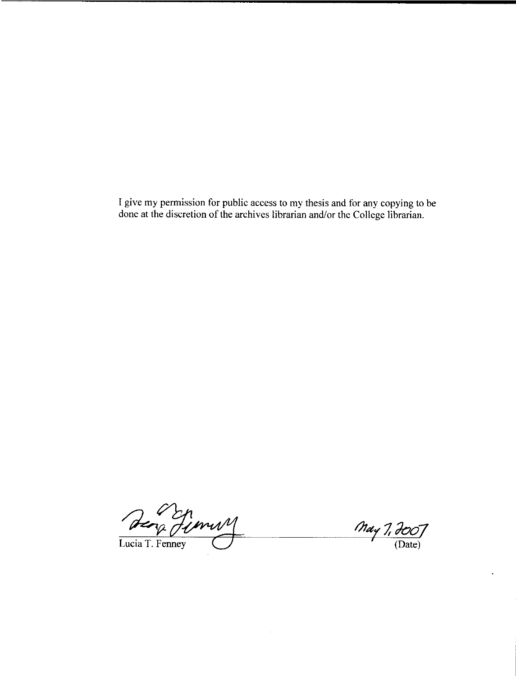I give my permission for public access to my thesis and for any copying to be done at the discretion of the archives librarian and/or the College librarian.

 $\sim$ 

Deng Fimmy

Lucia T. Fenney

May 1, 400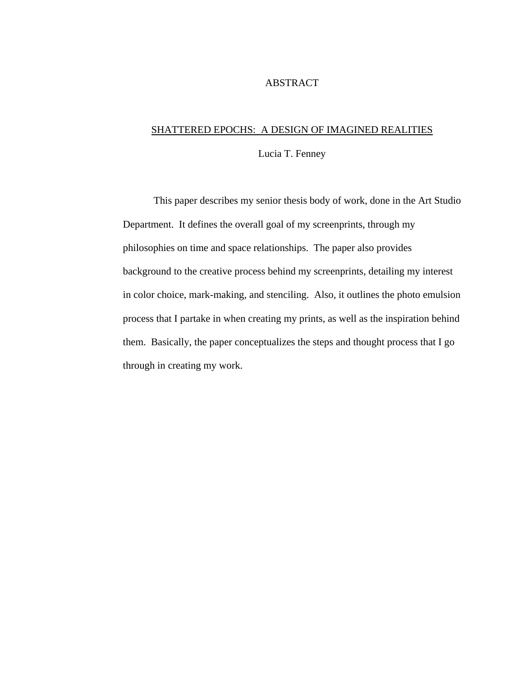#### ABSTRACT

### SHATTERED EPOCHS: A DESIGN OF IMAGINED REALITIES

Lucia T. Fenney

This paper describes my senior thesis body of work, done in the Art Studio Department. It defines the overall goal of my screenprints, through my philosophies on time and space relationships. The paper also provides background to the creative process behind my screenprints, detailing my interest in color choice, mark-making, and stenciling. Also, it outlines the photo emulsion process that I partake in when creating my prints, as well as the inspiration behind them. Basically, the paper conceptualizes the steps and thought process that I go through in creating my work.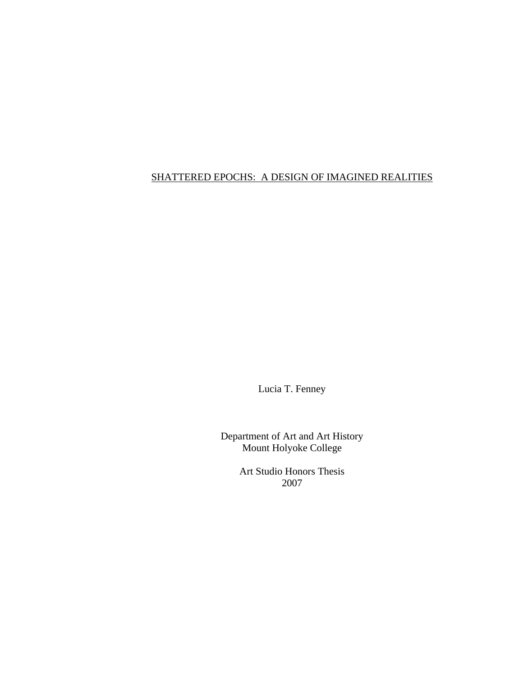## SHATTERED EPOCHS: A DESIGN OF IMAGINED REALITIES

Lucia T. Fenney

Department of Art and Art History Mount Holyoke College

> Art Studio Honors Thesis 2007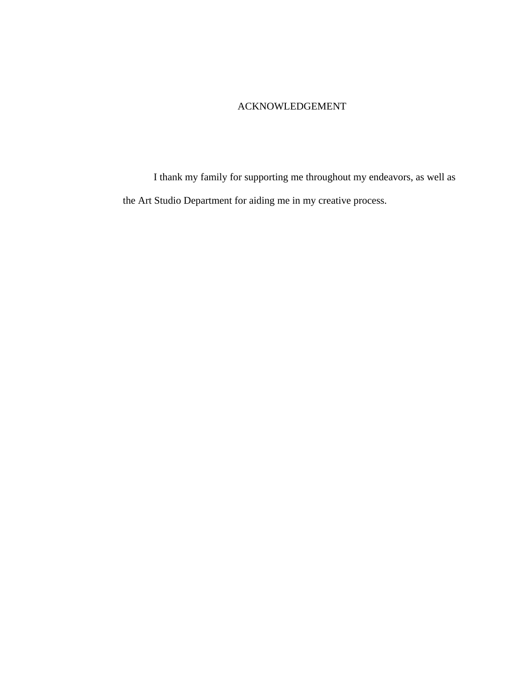## ACKNOWLEDGEMENT

 I thank my family for supporting me throughout my endeavors, as well as the Art Studio Department for aiding me in my creative process.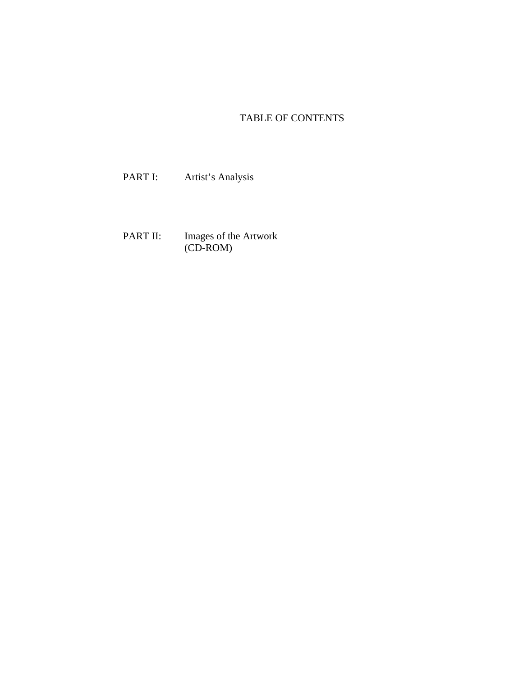# TABLE OF CONTENTS

PART I: Artist's Analysis

PART II: Images of the Artwork (CD-ROM)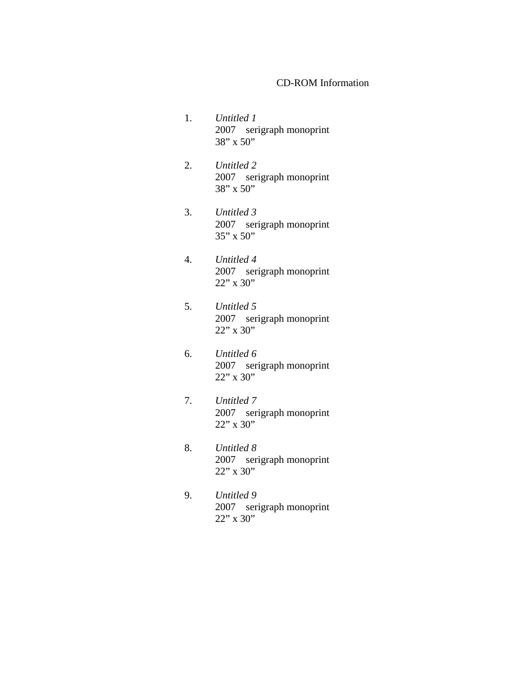#### CD-ROM Information

- 1. *Untitled 1*  2007 serigraph monoprint 38" x 50"
- 2. *Untitled 2*  2007 serigraph monoprint 38" x 50"
- 3. *Untitled 3*  2007 serigraph monoprint 35" x 50"
- 4. *Untitled 4*  2007 serigraph monoprint 22" x 30"
- 5. *Untitled 5*  2007 serigraph monoprint 22" x 30"
- 6. *Untitled 6*  2007 serigraph monoprint  $22$ " x 30"
- 7. *Untitled 7*  2007 serigraph monoprint 22" x 30"
- 8. *Untitled 8*  2007 serigraph monoprint 22" x 30"
- 9. *Untitled 9*  2007 serigraph monoprint  $22"$  x 30"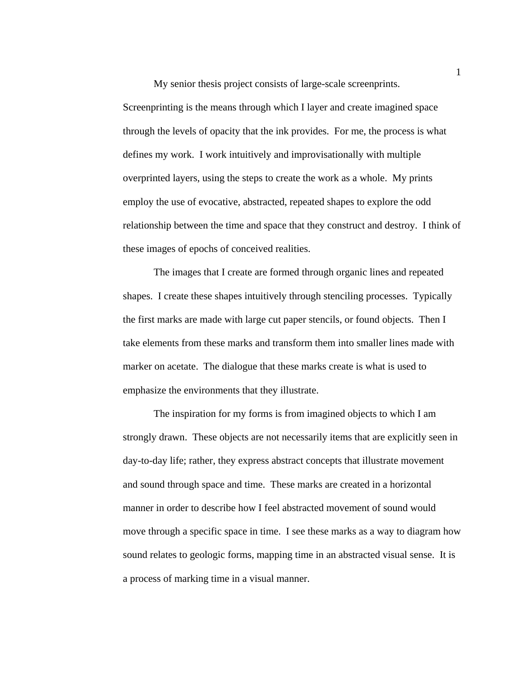My senior thesis project consists of large-scale screenprints. Screenprinting is the means through which I layer and create imagined space through the levels of opacity that the ink provides. For me, the process is what defines my work. I work intuitively and improvisationally with multiple overprinted layers, using the steps to create the work as a whole. My prints employ the use of evocative, abstracted, repeated shapes to explore the odd relationship between the time and space that they construct and destroy. I think of these images of epochs of conceived realities.

The images that I create are formed through organic lines and repeated shapes. I create these shapes intuitively through stenciling processes. Typically the first marks are made with large cut paper stencils, or found objects. Then I take elements from these marks and transform them into smaller lines made with marker on acetate. The dialogue that these marks create is what is used to emphasize the environments that they illustrate.

The inspiration for my forms is from imagined objects to which I am strongly drawn. These objects are not necessarily items that are explicitly seen in day-to-day life; rather, they express abstract concepts that illustrate movement and sound through space and time. These marks are created in a horizontal manner in order to describe how I feel abstracted movement of sound would move through a specific space in time. I see these marks as a way to diagram how sound relates to geologic forms, mapping time in an abstracted visual sense. It is a process of marking time in a visual manner.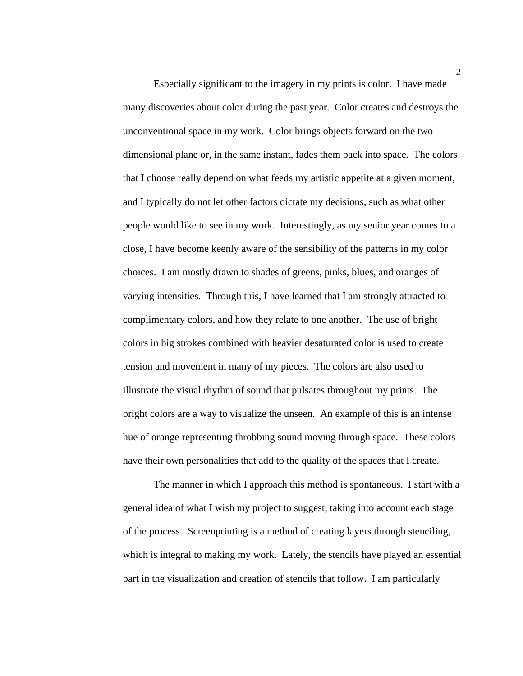Especially significant to the imagery in my prints is color. I have made many discoveries about color during the past year. Color creates and destroys the unconventional space in my work. Color brings objects forward on the two dimensional plane or, in the same instant, fades them back into space. The colors that I choose really depend on what feeds my artistic appetite at a given moment, and I typically do not let other factors dictate my decisions, such as what other people would like to see in my work. Interestingly, as my senior year comes to a close, I have become keenly aware of the sensibility of the patterns in my color choices. I am mostly drawn to shades of greens, pinks, blues, and oranges of varying intensities. Through this, I have learned that I am strongly attracted to complimentary colors, and how they relate to one another. The use of bright colors in big strokes combined with heavier desaturated color is used to create tension and movement in many of my pieces. The colors are also used to illustrate the visual rhythm of sound that pulsates throughout my prints. The bright colors are a way to visualize the unseen. An example of this is an intense hue of orange representing throbbing sound moving through space. These colors have their own personalities that add to the quality of the spaces that I create.

The manner in which I approach this method is spontaneous. I start with a general idea of what I wish my project to suggest, taking into account each stage of the process. Screenprinting is a method of creating layers through stenciling, which is integral to making my work. Lately, the stencils have played an essential part in the visualization and creation of stencils that follow. I am particularly

2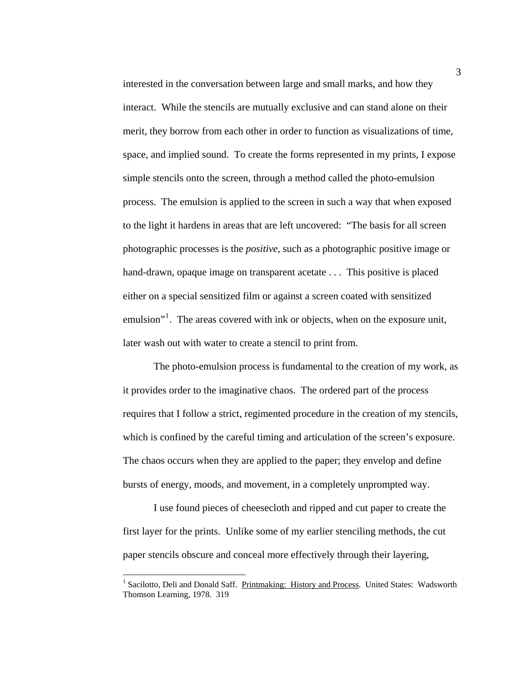interested in the conversation between large and small marks, and how they interact. While the stencils are mutually exclusive and can stand alone on their merit, they borrow from each other in order to function as visualizations of time, space, and implied sound. To create the forms represented in my prints, I expose simple stencils onto the screen, through a method called the photo-emulsion process. The emulsion is applied to the screen in such a way that when exposed to the light it hardens in areas that are left uncovered: "The basis for all screen photographic processes is the *positive*, such as a photographic positive image or hand-drawn, opaque image on transparent acetate . . . This positive is placed either on a special sensitized film or against a screen coated with sensitized emulsion"<sup>[1](#page-8-0)</sup>. The areas covered with ink or objects, when on the exposure unit, later wash out with water to create a stencil to print from.

 The photo-emulsion process is fundamental to the creation of my work, as it provides order to the imaginative chaos. The ordered part of the process requires that I follow a strict, regimented procedure in the creation of my stencils, which is confined by the careful timing and articulation of the screen's exposure. The chaos occurs when they are applied to the paper; they envelop and define bursts of energy, moods, and movement, in a completely unprompted way.

I use found pieces of cheesecloth and ripped and cut paper to create the first layer for the prints. Unlike some of my earlier stenciling methods, the cut paper stencils obscure and conceal more effectively through their layering,

1

<span id="page-8-0"></span><sup>&</sup>lt;sup>1</sup> Sacilotto, Deli and Donald Saff. Printmaking: History and Process. United States: Wadsworth Thomson Learning, 1978. 319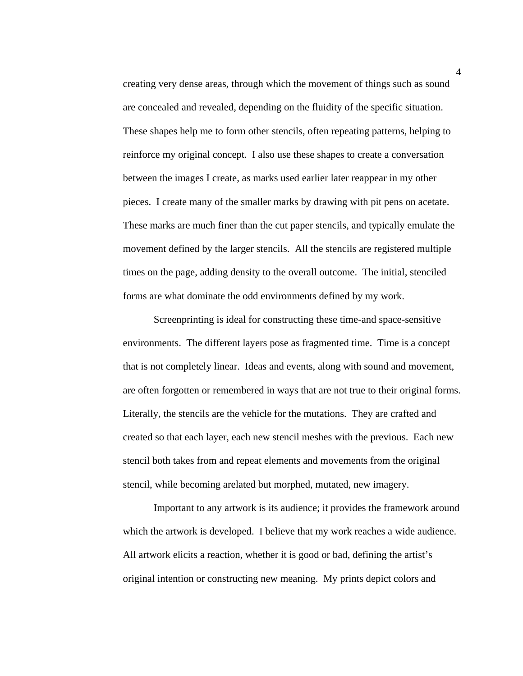creating very dense areas, through which the movement of things such as sound are concealed and revealed, depending on the fluidity of the specific situation. These shapes help me to form other stencils, often repeating patterns, helping to reinforce my original concept. I also use these shapes to create a conversation between the images I create, as marks used earlier later reappear in my other pieces. I create many of the smaller marks by drawing with pit pens on acetate. These marks are much finer than the cut paper stencils, and typically emulate the movement defined by the larger stencils. All the stencils are registered multiple times on the page, adding density to the overall outcome. The initial, stenciled forms are what dominate the odd environments defined by my work.

Screenprinting is ideal for constructing these time-and space-sensitive environments. The different layers pose as fragmented time. Time is a concept that is not completely linear. Ideas and events, along with sound and movement, are often forgotten or remembered in ways that are not true to their original forms. Literally, the stencils are the vehicle for the mutations. They are crafted and created so that each layer, each new stencil meshes with the previous. Each new stencil both takes from and repeat elements and movements from the original stencil, while becoming arelated but morphed, mutated, new imagery.

Important to any artwork is its audience; it provides the framework around which the artwork is developed. I believe that my work reaches a wide audience. All artwork elicits a reaction, whether it is good or bad, defining the artist's original intention or constructing new meaning. My prints depict colors and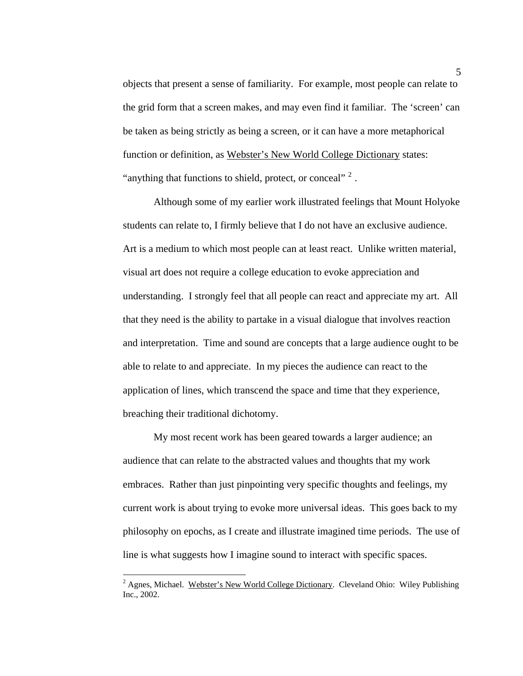objects that present a sense of familiarity. For example, most people can relate to the grid form that a screen makes, and may even find it familiar. The 'screen' can be taken as being strictly as being a screen, or it can have a more metaphorical function or definition, as Webster's New World College Dictionary states: "anything that functions to shield, protect, or conceal"  $2$ .

Although some of my earlier work illustrated feelings that Mount Holyoke students can relate to, I firmly believe that I do not have an exclusive audience. Art is a medium to which most people can at least react. Unlike written material, visual art does not require a college education to evoke appreciation and understanding. I strongly feel that all people can react and appreciate my art. All that they need is the ability to partake in a visual dialogue that involves reaction and interpretation. Time and sound are concepts that a large audience ought to be able to relate to and appreciate. In my pieces the audience can react to the application of lines, which transcend the space and time that they experience, breaching their traditional dichotomy.

My most recent work has been geared towards a larger audience; an audience that can relate to the abstracted values and thoughts that my work embraces. Rather than just pinpointing very specific thoughts and feelings, my current work is about trying to evoke more universal ideas. This goes back to my philosophy on epochs, as I create and illustrate imagined time periods. The use of line is what suggests how I imagine sound to interact with specific spaces.

 $\overline{a}$ 

<span id="page-10-0"></span><sup>&</sup>lt;sup>2</sup> Agnes, Michael. Webster's New World College Dictionary. Cleveland Ohio: Wiley Publishing Inc., 2002.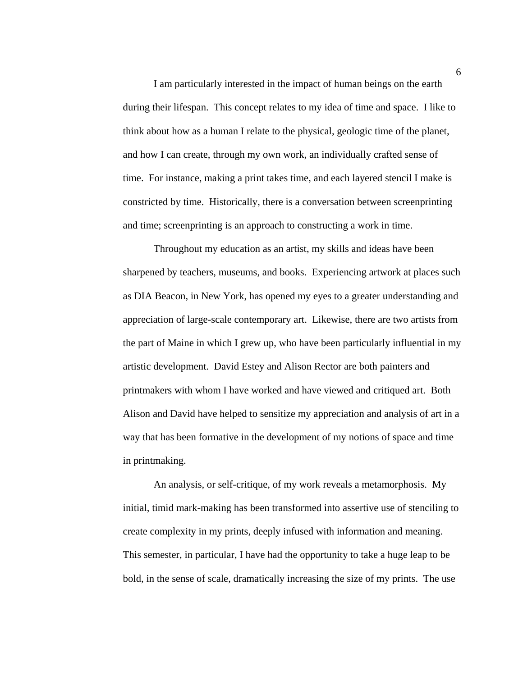I am particularly interested in the impact of human beings on the earth during their lifespan. This concept relates to my idea of time and space. I like to think about how as a human I relate to the physical, geologic time of the planet, and how I can create, through my own work, an individually crafted sense of time. For instance, making a print takes time, and each layered stencil I make is constricted by time. Historically, there is a conversation between screenprinting and time; screenprinting is an approach to constructing a work in time.

Throughout my education as an artist, my skills and ideas have been sharpened by teachers, museums, and books. Experiencing artwork at places such as DIA Beacon, in New York, has opened my eyes to a greater understanding and appreciation of large-scale contemporary art. Likewise, there are two artists from the part of Maine in which I grew up, who have been particularly influential in my artistic development. David Estey and Alison Rector are both painters and printmakers with whom I have worked and have viewed and critiqued art. Both Alison and David have helped to sensitize my appreciation and analysis of art in a way that has been formative in the development of my notions of space and time in printmaking.

 An analysis, or self-critique, of my work reveals a metamorphosis. My initial, timid mark-making has been transformed into assertive use of stenciling to create complexity in my prints, deeply infused with information and meaning. This semester, in particular, I have had the opportunity to take a huge leap to be bold, in the sense of scale, dramatically increasing the size of my prints. The use

6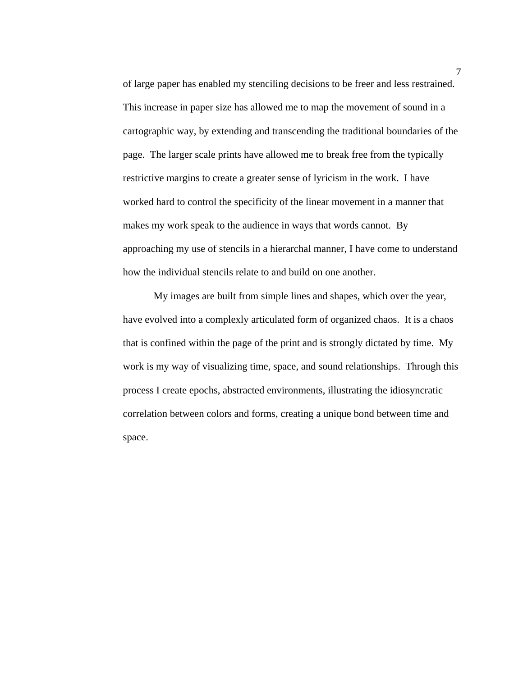of large paper has enabled my stenciling decisions to be freer and less restrained. This increase in paper size has allowed me to map the movement of sound in a cartographic way, by extending and transcending the traditional boundaries of the page. The larger scale prints have allowed me to break free from the typically restrictive margins to create a greater sense of lyricism in the work. I have worked hard to control the specificity of the linear movement in a manner that makes my work speak to the audience in ways that words cannot. By approaching my use of stencils in a hierarchal manner, I have come to understand how the individual stencils relate to and build on one another.

 My images are built from simple lines and shapes, which over the year, have evolved into a complexly articulated form of organized chaos. It is a chaos that is confined within the page of the print and is strongly dictated by time. My work is my way of visualizing time, space, and sound relationships. Through this process I create epochs, abstracted environments, illustrating the idiosyncratic correlation between colors and forms, creating a unique bond between time and space.